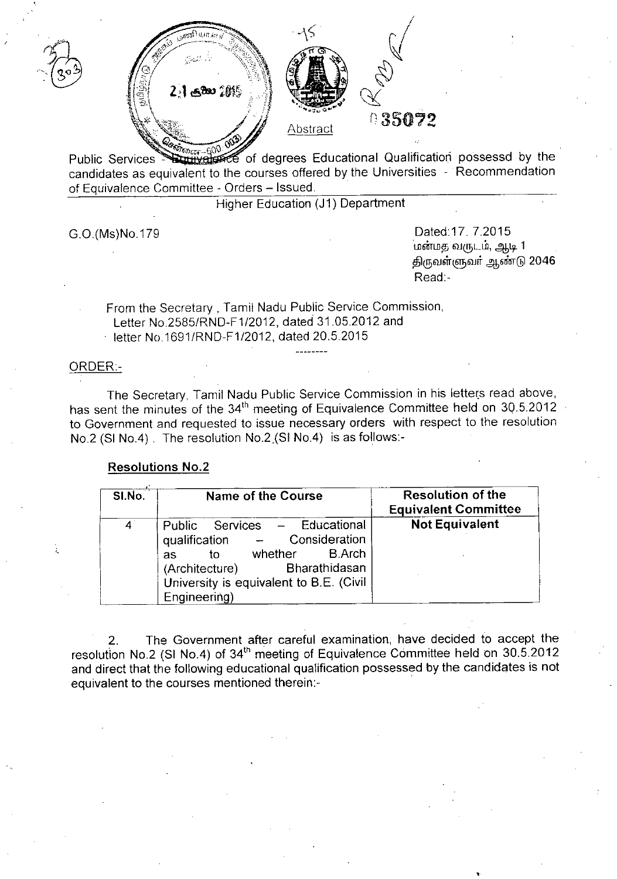



# 035072

Public Services contributed of degrees Educational Qualification possessd by the candidates as equivalent to the courses offered by the Universities - Recommendation of Equivalence Committee - Orders - Issued.

Higher Education (J1) Department

GO.(Ms)No.179 Dated:17.7.2015 பண்மத வருடம், ஆடி 1 திருவள்ளுவா் ஆண்டு 2046 Read:-

•

From the Secretary, Tamil Nadu Public Service Commission, Letter No 2585/RND-F1/2012, dated 31.05.2012 and

letter No 1691/RND-F1/2012, dated 20.5.2015

# ORDER-

The Secretary, Tamil Nadu Public Service Commission in his letters read above, has sent the minutes of the 34<sup>th</sup> meeting of Equivalence Committee held on 30.5.2012 to Government and requested to issue necessary orders with respect to the resolution NO.2 (SI No.4). The resolution NO.2,(SI No.4) is as follows:-

# **Resolutions NO.2**

| SI.No.      | <b>Name of the Course</b>                                                                                                                                                                      | <b>Resolution of the</b><br><b>Equivalent Committee</b> |
|-------------|------------------------------------------------------------------------------------------------------------------------------------------------------------------------------------------------|---------------------------------------------------------|
| $4^{\circ}$ | Public Services - Educational<br>qualification - Consideration<br>whether B.Arch<br>to<br><b>as</b><br>(Architecture) Bharathidasan<br>University is equivalent to B.E. (Civil<br>Engineering) | <b>Not Equivalent</b>                                   |

2. The Government after careful examination, have decided to accept the resolution No.2 (SI No.4) of 34<sup>th</sup> meeting of Equivalence Committee held on 30.5.2012 and direct that the following educational qualification possessed by the candidates is not equivalent to the courses mentioned therein:- .